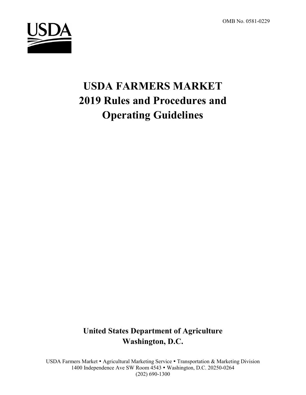OMB No. 0581-0229



# **USDA FARMERS MARKET 2019 Rules and Procedures and Operating Guidelines**

**United States Department of Agriculture Washington, D.C.**

USDA Farmers Market • Agricultural Marketing Service • Transportation & Marketing Division 1400 Independence Ave SW Room 4543 Washington, D.C. 20250-0264 (202) 690-1300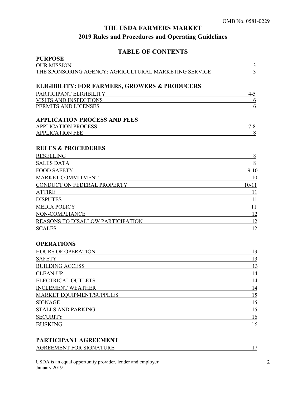# **TABLE OF CONTENTS**

| <b>PURPOSE</b>                                                    |                |
|-------------------------------------------------------------------|----------------|
| <b>OUR MISSION</b>                                                | $\overline{3}$ |
| THE SPONSORING AGENCY: AGRICULTURAL MARKETING SERVICE             | 3              |
|                                                                   |                |
| <b>ELIGIBILITY: FOR FARMERS, GROWERS &amp; PRODUCERS</b>          |                |
| PARTICIPANT ELIGIBILITY                                           | $4 - 5$        |
| VISITS AND INSPECTIONS                                            | 6              |
| PERMITS AND LICENSES                                              | 6              |
|                                                                   |                |
| <b>APPLICATION PROCESS AND FEES</b><br><b>APPLICATION PROCESS</b> | $7 - 8$        |
| <b>APPLICATION FEE</b>                                            | 8              |
|                                                                   |                |
| <b>RULES &amp; PROCEDURES</b>                                     |                |
| <b>RESELLING</b>                                                  | 8              |
| <b>SALES DATA</b>                                                 | $\,8\,$        |
| <b>FOOD SAFETY</b>                                                | $9-10$         |
| MARKET COMMITMENT                                                 | 10             |
| CONDUCT ON FEDERAL PROPERTY                                       | $10 - 11$      |
| <b>ATTIRE</b>                                                     | 11             |
| <b>DISPUTES</b>                                                   | 11             |
| <b>MEDIA POLICY</b>                                               | 11             |
| NON-COMPLIANCE                                                    | 12             |
| REASONS TO DISALLOW PARTICIPATION                                 | 12             |
| <b>SCALES</b>                                                     | 12             |
|                                                                   |                |
| <b>OPERATIONS</b>                                                 |                |
| <b>HOURS OF OPERATION</b>                                         | 13             |
| <b>SAFETY</b>                                                     | 13             |
| <b>BUILDING ACCESS</b>                                            | 13             |
| <b>CLEAN-UP</b>                                                   | 14             |
| <b>ELECTRICAL OUTLETS</b>                                         | 14             |
| <b>INCLEMENT WEATHER</b>                                          | 14             |
| <b>MARKET EQUIPMENT/SUPPLIES</b>                                  | 15             |
| <b>SIGNAGE</b>                                                    | 15             |
| STALLS AND PARKING                                                | 15             |
| <b>SECURITY</b>                                                   | 16             |
| <b>BUSKING</b>                                                    | 16             |

# **PARTICIPANT AGREEMENT**

| <b>AGREEMENT FOR SIGNATURE</b> |  |
|--------------------------------|--|
|                                |  |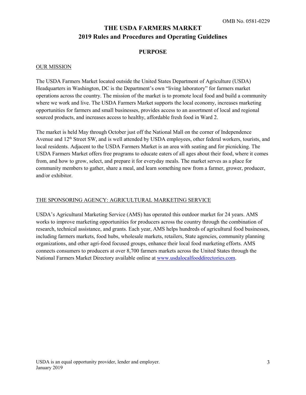### **PURPOSE**

#### OUR MISSION

The USDA Farmers Market located outside the United States Department of Agriculture (USDA) Headquarters in Washington, DC is the Department's own "living laboratory" for farmers market operations across the country. The mission of the market is to promote local food and build a community where we work and live. The USDA Farmers Market supports the local economy, increases marketing opportunities for farmers and small businesses, provides access to an assortment of local and regional sourced products, and increases access to healthy, affordable fresh food in Ward 2.

The market is held May through October just off the National Mall on the corner of Independence Avenue and 12<sup>th</sup> Street SW, and is well attended by USDA employees, other federal workers, tourists, and local residents. Adjacent to the USDA Farmers Market is an area with seating and for picnicking. The USDA Farmers Market offers free programs to educate eaters of all ages about their food, where it comes from, and how to grow, select, and prepare it for everyday meals. The market serves as a place for community members to gather, share a meal, and learn something new from a farmer, grower, producer, and/or exhibitor.

#### THE SPONSORING AGENCY: AGRICULTURAL MARKETING SERVICE

USDA's Agricultural Marketing Service (AMS) has operated this outdoor market for 24 years. AMS works to improve marketing opportunities for producers across the country through the combination of research, technical assistance, and grants. Each year, AMS helps hundreds of agricultural food businesses, including farmers markets, food hubs, wholesale markets, retailers, State agencies, community planning organizations, and other agri-food focused groups, enhance their local food marketing efforts. AMS connects consumers to producers at over 8,700 farmers markets across the United States through the National Farmers Market Directory available online at [www.usdalocalfooddirectories.com.](http://www.usdalocalfooddirectories.com/)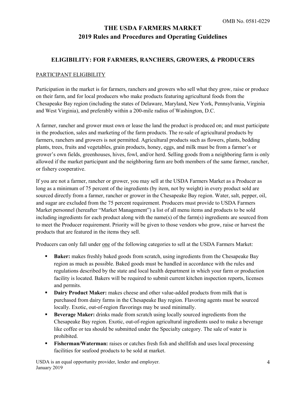### **ELIGIBILITY: FOR FARMERS, RANCHERS, GROWERS, & PRODUCERS**

#### PARTICIPANT ELIGIBILITY

Participation in the market is for farmers, ranchers and growers who sell what they grow, raise or produce on their farm, and for local producers who make products featuring agricultural foods from the Chesapeake Bay region (including the states of Delaware, Maryland, New York, Pennsylvania, Virginia and West Virginia), and preferably within a 200-mile radius of Washington, D.C.

A farmer, rancher and grower must own or lease the land the product is produced on; and must participate in the production, sales and marketing of the farm products. The re-sale of agricultural products by farmers, ranchers and growers is not permitted. Agricultural products such as flowers, plants, bedding plants, trees, fruits and vegetables, grain products, honey, eggs, and milk must be from a farmer's or grower's own fields, greenhouses, hives, fowl, and/or herd. Selling goods from a neighboring farm is only allowed if the market participant and the neighboring farm are both members of the same farmer, rancher, or fishery cooperative.

If you are not a farmer, rancher or grower, you may sell at the USDA Farmers Market as a Producer as long as a minimum of 75 percent of the ingredients (by item, not by weight) in every product sold are sourced directly from a farmer, rancher or grower in the Chesapeake Bay region. Water, salt, pepper, oil, and sugar are excluded from the 75 percent requirement. Producers must provide to USDA Farmers Market personnel (hereafter "Market Management") a list of all menu items and products to be sold including ingredients for each product along with the name(s) of the farm(s) ingredients are sourced from to meet the Producer requirement. Priority will be given to those vendors who grow, raise or harvest the products that are featured in the items they sell.

Producers can only fall under one of the following categories to sell at the USDA Farmers Market:

- **Baker:** makes freshly baked goods from scratch, using ingredients from the Chesapeake Bay region as much as possible. Baked goods must be handled in accordance with the rules and regulations described by the state and local health department in which your farm or production facility is located. Bakers will be required to submit current kitchen inspection reports, licenses and permits.
- **Dairy Product Maker:** makes cheese and other value-added products from milk that is purchased from dairy farms in the Chesapeake Bay region. Flavoring agents must be sourced locally. Exotic, out-of-region flavorings may be used minimally.
- **Beverage Maker:** drinks made from scratch using locally sourced ingredients from the Chesapeake Bay region. Exotic, out-of-region agricultural ingredients used to make a beverage like coffee or tea should be submitted under the Specialty category. The sale of water is prohibited.
- **Fisherman/Waterman:** raises or catches fresh fish and shellfish and uses local processing facilities for seafood products to be sold at market.

USDA is an equal opportunity provider, lender and employer. January 2019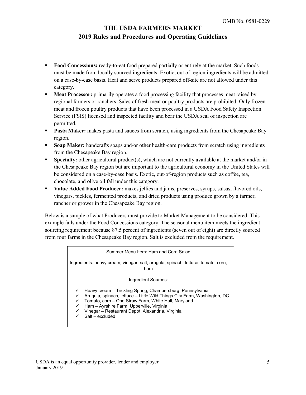- **Food Concessions:** ready-to-eat food prepared partially or entirely at the market. Such foods must be made from locally sourced ingredients. Exotic, out of region ingredients will be admitted on a case-by-case basis. Heat and serve products prepared off-site are not allowed under this category.
- **Meat Processor:** primarily operates a food processing facility that processes meat raised by regional farmers or ranchers. Sales of fresh meat or poultry products are prohibited. Only frozen meat and frozen poultry products that have been processed in a USDA Food Safety Inspection Service (FSIS) licensed and inspected facility and bear the USDA seal of inspection are permitted.
- **Pasta Maker:** makes pasta and sauces from scratch, using ingredients from the Chesapeake Bay region.
- **Soap Maker:** handcrafts soaps and/or other health-care products from scratch using ingredients from the Chesapeake Bay region.
- **Specialty:** other agricultural product(s), which are not currently available at the market and/or in the Chesapeake Bay region but are important to the agricultural economy in the United States will be considered on a case-by-case basis. Exotic, out-of-region products such as coffee, tea, chocolate, and olive oil fall under this category.
- **Value Added Food Producer:** makes jellies and jams, preserves, syrups, salsas, flavored oils, vinegars, pickles, fermented products, and dried products using produce grown by a farmer, rancher or grower in the Chesapeake Bay region.

Below is a sample of what Producers must provide to Market Management to be considered. This example falls under the Food Concessions category. The seasonal menu item meets the ingredientsourcing requirement because 87.5 percent of ingredients (seven out of eight) are directly sourced from four farms in the Chesapeake Bay region. Salt is excluded from the requirement.

| Summer Menu Item: Ham and Corn Salad                                                                                                                                                                                                                                                                              |  |  |
|-------------------------------------------------------------------------------------------------------------------------------------------------------------------------------------------------------------------------------------------------------------------------------------------------------------------|--|--|
| Ingredients: heavy cream, vinegar, salt, arugula, spinach, lettuce, tomato, corn,<br>ham                                                                                                                                                                                                                          |  |  |
| Ingredient Sources:                                                                                                                                                                                                                                                                                               |  |  |
| Heavy cream – Trickling Spring, Chambersburg, Pennsylvania<br>Arugula, spinach, lettuce - Little Wild Things City Farm, Washington, DC<br>Tomato, corn - One Straw Farm, White Hall, Maryland<br>Ham - Ayrshire Farm, Upperville, Virginia<br>Vinegar – Restaurant Depot, Alexandria, Virginia<br>Salt - excluded |  |  |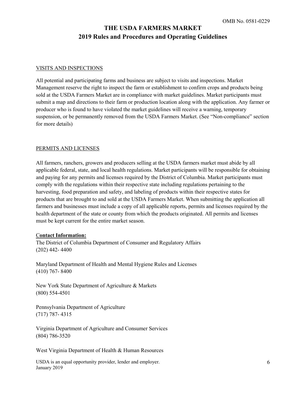#### VISITS AND INSPECTIONS

All potential and participating farms and business are subject to visits and inspections. Market Management reserve the right to inspect the farm or establishment to confirm crops and products being sold at the USDA Farmers Market are in compliance with market guidelines. Market participants must submit a map and directions to their farm or production location along with the application. Any farmer or producer who is found to have violated the market guidelines will receive a warning, temporary suspension, or be permanently removed from the USDA Farmers Market. (See "Non-compliance" section for more details)

#### PERMITS AND LICENSES

All farmers, ranchers, growers and producers selling at the USDA farmers market must abide by all applicable federal, state, and local health regulations. Market participants will be responsible for obtaining and paying for any permits and licenses required by the District of Columbia. Market participants must comply with the regulations within their respective state including regulations pertaining to the harvesting, food preparation and safety, and labeling of products within their respective states for products that are brought to and sold at the USDA Farmers Market. When submitting the application all farmers and businesses must include a copy of all applicable reports, permits and licenses required by the health department of the state or county from which the products originated. All permits and licenses must be kept current for the entire market season.

#### C**ontact Information:**

The District of Columbia Department of Consumer and Regulatory Affairs (202) 442- 4400

Maryland Department of Health and Mental Hygiene Rules and Licenses (410) 767- 8400

New York State Department of Agriculture & Markets (800) 554-4501

Pennsylvania Department of Agriculture (717) 787- 4315

Virginia Department of Agriculture and Consumer Services (804) 786-3520

West Virginia Department of Health & Human Resources

USDA is an equal opportunity provider, lender and employer. January 2019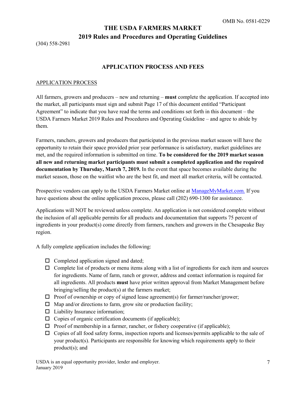(304) 558-2981

# **APPLICATION PROCESS AND FEES**

#### APPLICATION PROCESS

All farmers, growers and producers – new and returning – **must** complete the application. If accepted into the market, all participants must sign and submit Page 17 of this document entitled "Participant Agreement" to indicate that you have read the terms and conditions set forth in this document – the USDA Farmers Market 2019 Rules and Procedures and Operating Guideline – and agree to abide by them.

Farmers, ranchers, growers and producers that participated in the previous market season will have the opportunity to retain their space provided prior year performance is satisfactory, market guidelines are met, and the required information is submitted on time. **To be considered for the 2019 market season all new and returning market participants must submit a completed application and the required documentation by Thursday, March 7, 2019.** In the event that space becomes available during the market season, those on the waitlist who are the best fit, and meet all market criteria, will be contacted.

Prospective vendors can apply to the USDA Farmers Market online at [ManageMyMarket.com.](https://managemymarket.com/) If you have questions about the online application process, please call (202) 690-1300 for assistance.

Applications will NOT be reviewed unless complete. An application is not considered complete without the inclusion of all applicable permits for all products and documentation that supports 75 percent of ingredients in your product(s) come directly from farmers, ranchers and growers in the Chesapeake Bay region.

A fully complete application includes the following:

- $\Box$  Completed application signed and dated;
- $\Box$  Complete list of products or menu items along with a list of ingredients for each item and sources for ingredients. Name of farm, ranch or grower, address and contact information is required for all ingredients. All products **must** have prior written approval from Market Management before bringing/selling the product(s) at the farmers market;
- $\Box$  Proof of ownership or copy of signed lease agreement(s) for farmer/rancher/grower;
- $\Box$  Map and/or directions to farm, grow site or production facility;
- $\Box$  Liability Insurance information;
- $\Box$  Copies of organic certification documents (if applicable);
- $\Box$  Proof of membership in a farmer, rancher, or fishery cooperative (if applicable);
- $\Box$  Copies of all food safety forms, inspection reports and licenses/permits applicable to the sale of your product(s). Participants are responsible for knowing which requirements apply to their product(s); and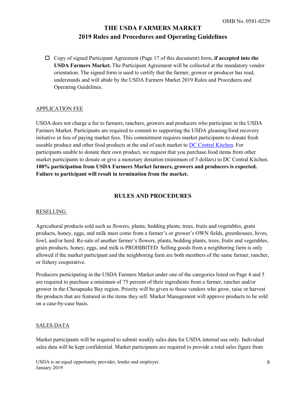Copy of signed Participant Agreement (Page 17 of this document) form, **if accepted into the USDA Farmers Market.** The Participant Agreement will be collected at the mandatory vendor orientation. The signed form is used to certify that the farmer, grower or producer has read, understands and will abide by the USDA Farmers Market 2019 Rules and Procedures and Operating Guidelines.

#### APPLICATION FEE

USDA does not charge a fee to farmers, ranchers, growers and producers who participate in the USDA Farmers Market. Participants are required to commit to supporting the USDA gleaning/food recovery initiative in lieu of paying market fees. This commitment requires market participants to donate fresh useable produce and other food products at the end of each market to [DC Central Kitchen.](http://www.dccentralkitchen.org/) For participants unable to donate their own product, we request that you purchase food items from other market participants to donate or give a monetary donation (minimum of 5 dollars) to DC Central Kitchen. **100% participation from USDA Farmers Market farmers, growers and producers is expected. Failure to participant will result in termination from the market.** 

#### **RULES AND PROCEDURES**

#### RESELLING

Agricultural products sold such as flowers, plants, bedding plants, trees, fruits and vegetables, grain products, honey, eggs, and milk must come from a farmer's or grower's OWN fields, greenhouses, hives, fowl, and/or herd. Re-sale of another farmer's flowers, plants, bedding plants, trees, fruits and vegetables, grain products, honey, eggs, and milk is PROHIBITED. Selling goods from a neighboring farm is only allowed if the market participant and the neighboring farm are both members of the same farmer, rancher, or fishery cooperative.

Producers participating in the USDA Farmers Market under one of the categories listed on Page 4 and 5 are required to purchase a minimum of 75 percent of their ingredients from a farmer, rancher and/or grower in the Chesapeake Bay region. Priority will be given to those vendors who grow, raise or harvest the products that are featured in the items they sell. Market Management will approve products to be sold on a case-by-case basis.

#### SALES DATA

Market participants will be required to submit weekly sales data for USDA internal use only. Individual sales data will be kept confidential. Market participants are required to provide a total sales figure from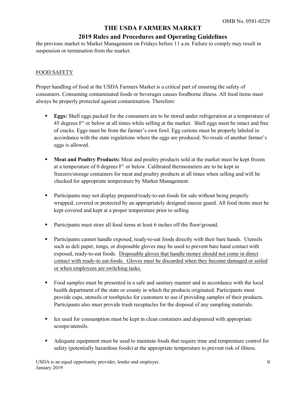# **2019 Rules and Procedures and Operating Guidelines**

the previous market to Market Management on Fridays before 11 a.m. Failure to comply may result in suspension or termination from the market.

#### FOOD SAFETY

Proper handling of food at the USDA Farmers Market is a critical part of ensuring the safety of consumers. Consuming contaminated foods or beverages causes foodborne illness. All food items must always be properly protected against contamination. Therefore:

- **Eggs:** Shell eggs packed for the consumers are to be stored under refrigeration at a temperature of  $45$  degrees  $F<sup>o</sup>$  or below at all times while selling at the market. Shell eggs must be intact and free of cracks. Eggs must be from the farmer's own fowl. Egg cartons must be properly labeled in accordance with the state regulations where the eggs are produced. No resale of another farmer's eggs is allowed.
- **Meat and Poultry Products:** Meat and poultry products sold at the market must be kept frozen at a temperature of 0 degrees  $F^{\circ}$  or below. Calibrated thermometers are to be kept in freezers/storage containers for meat and poultry products at all times when selling and will be checked for appropriate temperature by Market Management.
- Participants may not display prepared/ready-to-eat-foods for sale without being properly wrapped, covered or protected by an appropriately designed sneeze guard. All food items must be kept covered and kept at a proper temperature prior to selling.
- **Participants must store all food items at least 6 inches off the floor/ground.**
- Participants cannot handle exposed, ready-to-eat foods directly with their bare hands. Utensils such as deli paper, tongs, or disposable gloves may be used to prevent bare hand contact with exposed, ready-to-eat foods. Disposable gloves that handle money should not come in direct contact with ready-to eat-foods. Gloves must be discarded when they become damaged or soiled or when employees are switching tasks.
- Food samples must be presented in a safe and sanitary manner and in accordance with the local health department of the state or county in which the products originated. Participants must provide cups, utensils or toothpicks for customers to use if providing samples of their products. Participants also must provide trash receptacles for the disposal of any sampling materials.
- **If the used for consumption must be kept in clean containers and dispensed with appropriate** scoops/utensils.
- Adequate equipment must be used to maintain foods that require time and temperature control for safety (potentially hazardous foods) at the appropriate temperature to prevent risk of illness.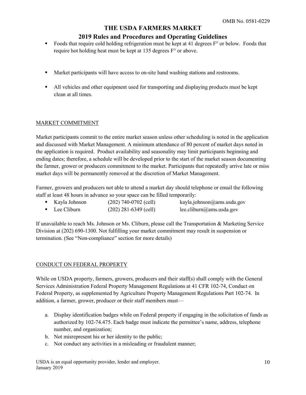# **2019 Rules and Procedures and Operating Guidelines**

- Foods that require cold holding refrigeration must be kept at 41 degrees  $F<sup>o</sup>$  or below. Foods that require hot holding heat must be kept at 135 degrees F° or above.
- Market participants will have access to on-site hand washing stations and restrooms.
- If All vehicles and other equipment used for transporting and displaying products must be kept clean at all times.

#### MARKET COMMITMENT

Market participants commit to the entire market season unless other scheduling is noted in the application and discussed with Market Management. A minimum attendance of 80 percent of market days noted in the application is required. Product availability and seasonality may limit participants beginning and ending dates; therefore, a schedule will be developed prior to the start of the market season documenting the farmer, grower or producers commitment to the market. Participants that repeatedly arrive late or miss market days will be permanently removed at the discretion of Market Management.

Farmer, growers and producers not able to attend a market day should telephone or email the following staff at least 48 hours in advance so your space can be filled temporarily:

- Kayla Johnson (202) 740-0702 (cell) kayla.johnson@ams.usda.gov
- Lee Cliburn (202) 281-6349 (cell) lee.cliburn@ams.usda.gov

If unavailable to reach Ms. Johnson or Ms. Cliburn, please call the Transportation & Marketing Service Division at (202) 690-1300. Not fulfilling your market commitment may result in suspension or termination. (See "Non-compliance" section for more details)

#### CONDUCT ON FEDERAL PROPERTY

While on USDA property, farmers, growers, producers and their staff(s) shall comply with the General Services Administration Federal Property Management Regulations at 41 CFR 102-74, Conduct on Federal Property, as supplemented by Agriculture Property Management Regulations Part 102-74. In addition, a farmer, grower, producer or their staff members must—

- a. Display identification badges while on Federal property if engaging in the solicitation of funds as authorized by 102-74.475. Each badge must indicate the permittee's name, address, telephone number, and organization;
- b. Not misrepresent his or her identity to the public;
- c. Not conduct any activities in a misleading or fraudulent manner;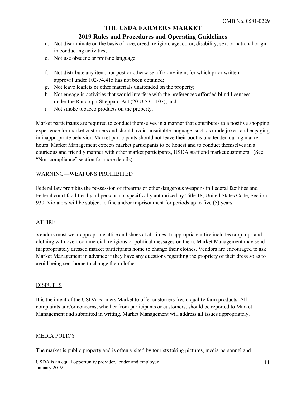### **2019 Rules and Procedures and Operating Guidelines**

- d. Not discriminate on the basis of race, creed, religion, age, color, disability, sex, or national origin in conducting activities;
- e. Not use obscene or profane language;
- f. Not distribute any item, nor post or otherwise affix any item, for which prior written approval under 102-74.415 has not been obtained;
- g. Not leave leaflets or other materials unattended on the property;
- h. Not engage in activities that would interfere with the preferences afforded blind licensees under the Randolph-Sheppard Act (20 U.S.C. 107); and
- i. Not smoke tobacco products on the property.

Market participants are required to conduct themselves in a manner that contributes to a positive shopping experience for market customers and should avoid unsuitable language, such as crude jokes, and engaging in inappropriate behavior. Market participants should not leave their booths unattended during market hours. Market Management expects market participants to be honest and to conduct themselves in a courteous and friendly manner with other market participants, USDA staff and market customers. (See "Non-compliance" section for more details)

### WARNING—WEAPONS PROHIBITED

Federal law prohibits the possession of firearms or other dangerous weapons in Federal facilities and Federal court facilities by all persons not specifically authorized by Title 18, United States Code, Section 930. Violators will be subject to fine and/or imprisonment for periods up to five (5) years.

### ATTIRE

Vendors must wear appropriate attire and shoes at all times. Inappropriate attire includes crop tops and clothing with overt commercial, religious or political messages on them. Market Management may send inappropriately dressed market participants home to change their clothes. Vendors are encouraged to ask Market Management in advance if they have any questions regarding the propriety of their dress so as to avoid being sent home to change their clothes.

#### **DISPUTES**

It is the intent of the USDA Farmers Market to offer customers fresh, quality farm products. All complaints and/or concerns, whether from participants or customers, should be reported to Market Management and submitted in writing. Market Management will address all issues appropriately.

#### MEDIA POLICY

The market is public property and is often visited by tourists taking pictures, media personnel and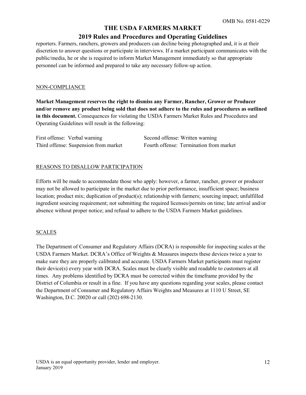### **2019 Rules and Procedures and Operating Guidelines**

reporters. Farmers, ranchers, growers and producers can decline being photographed and, it is at their discretion to answer questions or participate in interviews. If a market participant communicates with the public/media, he or she is required to inform Market Management immediately so that appropriate personnel can be informed and prepared to take any necessary follow-up action.

#### NON-COMPLIANCE

**Market Management reserves the right to dismiss any Farmer, Rancher, Grower or Producer and/or remove any product being sold that does not adhere to the rules and procedures as outlined in this document.** Consequences for violating the USDA Farmers Market Rules and Procedures and Operating Guidelines will result in the following:

| First offense: Verbal warning         | Sε |
|---------------------------------------|----|
| Third offense: Suspension from market | Fο |

econd offense: Written warning burth offense: Termination from market

#### REASONS TO DISALLOW PARTICIPATION

Efforts will be made to accommodate those who apply: however, a farmer, rancher, grower or producer may not be allowed to participate in the market due to prior performance, insufficient space; business location; product mix; duplication of product(s); relationship with farmers; sourcing impact; unfulfilled ingredient sourcing requirement; not submitting the required licenses/permits on time; late arrival and/or absence without proper notice; and refusal to adhere to the USDA Farmers Market guidelines.

#### SCALES

The Department of Consumer and Regulatory Affairs (DCRA) is responsible for inspecting scales at the USDA Farmers Market. DCRA's Office of Weights & Measures inspects these devices twice a year to make sure they are properly calibrated and accurate. USDA Farmers Market participants must register their device(s) every year with DCRA. Scales must be clearly visible and readable to customers at all times. Any problems identified by DCRA must be corrected within the timeframe provided by the District of Columbia or result in a fine. If you have any questions regarding your scales, please contact the Department of Consumer and Regulatory Affairs Weights and Measures at 1110 U Street, SE Washington, D.C. 20020 or call (202) 698-2130.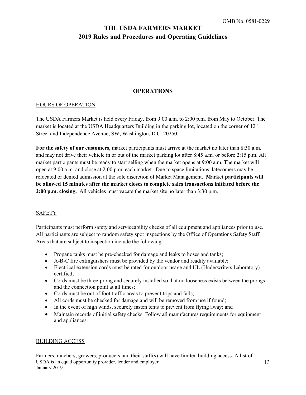# **OPERATIONS**

#### HOURS OF OPERATION

The USDA Farmers Market is held every Friday, from 9:00 a.m. to 2:00 p.m. from May to October. The market is located at the USDA Headquarters Building in the parking lot, located on the corner of 12<sup>th</sup> Street and Independence Avenue, SW, Washington, D.C. 20250.

**For the safety of our customers,** market participants must arrive at the market no later than 8:30 a.m. and may not drive their vehicle in or out of the market parking lot after 8:45 a.m. or before 2:15 p.m. All market participants must be ready to start selling when the market opens at 9:00 a.m. The market will open at 9:00 a.m. and close at 2:00 p.m. each market. Due to space limitations, latecomers may be relocated or denied admission at the sole discretion of Market Management. **Market participants will be allowed 15 minutes after the market closes to complete sales transactions initiated before the 2:00 p.m. closing.** All vehicles must vacate the market site no later than 3:30 p.m.

#### SAFETY

Participants must perform safety and serviceability checks of all equipment and appliances prior to use. All participants are subject to random safety spot inspections by the Office of Operations Safety Staff. Areas that are subject to inspection include the following:

- Propane tanks must be pre-checked for damage and leaks to hoses and tanks;
- A-B-C fire extinguishers must be provided by the vendor and readily available;
- Electrical extension cords must be rated for outdoor usage and UL (Underwriters Laboratory) certified;
- Cords must be three-prong and securely installed so that no looseness exists between the prongs and the connection point at all times;
- Cords must be out of foot traffic areas to prevent trips and falls;
- All cords must be checked for damage and will be removed from use if found;
- In the event of high winds, securely fasten tents to prevent from flying away; and
- Maintain records of initial safety checks. Follow all manufactures requirements for equipment and appliances.

#### BUILDING ACCESS

USDA is an equal opportunity provider, lender and employer. January 2019 Farmers, ranchers, growers, producers and their staff(s) will have limited building access. A list of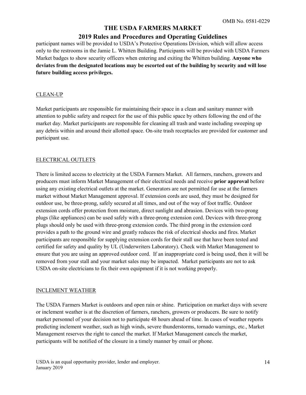# **2019 Rules and Procedures and Operating Guidelines**

participant names will be provided to USDA's Protective Operations Division, which will allow access only to the restrooms in the Jamie L. Whitten Building. Participants will be provided with USDA Farmers Market badges to show security officers when entering and exiting the Whitten building. **Anyone who deviates from the designated locations may be escorted out of the building by security and will lose future building access privileges.** 

#### CLEAN-UP

Market participants are responsible for maintaining their space in a clean and sanitary manner with attention to public safety and respect for the use of this public space by others following the end of the market day. Market participants are responsible for cleaning all trash and waste including sweeping up any debris within and around their allotted space. On-site trash receptacles are provided for customer and participant use.

#### ELECTRICAL OUTLETS

There is limited access to electricity at the USDA Farmers Market. All farmers, ranchers, growers and producers must inform Market Management of their electrical needs and receive **prior approval** before using any existing electrical outlets at the market. Generators are not permitted for use at the farmers market without Market Management approval. If extension cords are used, they must be designed for outdoor use, be three-prong, safely secured at all times, and out of the way of foot traffic. Outdoor extension cords offer protection from moisture, direct sunlight and abrasion. Devices with two-prong plugs (like appliances) can be used safely with a three-prong extension cord. Devices with three-prong plugs should only be used with three-prong extension cords. The third prong in the extension cord provides a path to the ground wire and greatly reduces the risk of electrical shocks and fires. Market participants are responsible for supplying extension cords for their stall use that have been tested and certified for safety and quality by UL (Underwriters Laboratory). Check with Market Management to ensure that you are using an approved outdoor cord. If an inappropriate cord is being used, then it will be removed from your stall and your market sales may be impacted. Market participants are not to ask USDA on-site electricians to fix their own equipment if it is not working properly.

#### INCLEMENT WEATHER

The USDA Farmers Market is outdoors and open rain or shine. Participation on market days with severe or inclement weather is at the discretion of farmers, ranchers, growers or producers. Be sure to notify market personnel of your decision not to participate 48 hours ahead of time. In cases of weather reports predicting inclement weather, such as high winds, severe thunderstorms, tornado warnings, etc., Market Management reserves the right to cancel the market. If Market Management cancels the market, participants will be notified of the closure in a timely manner by email or phone.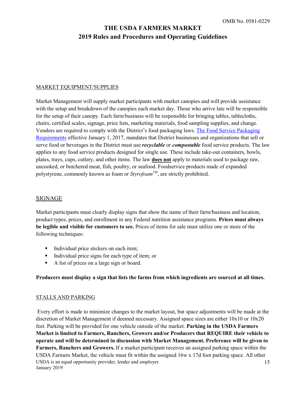#### MARKET EQUIPMENT/SUPPLIES

Market Management will supply market participants with market canopies and will provide assistance with the setup and breakdown of the canopies each market day. Those who arrive late will be responsible for the setup of their canopy. Each farm/business will be responsible for bringing tables, tablecloths, chairs, certified scales, signage, price lists, marketing materials, food sampling supplies, and change. Vendors are required to comply with the District's food packaging laws. [The Food Service Packaging](http://doee.dc.gov/node/1208107)  [Requirements](http://doee.dc.gov/node/1208107) effective January 1, 2017, mandates that District businesses and organizations that sell or serve food or beverages in the District must use *recyclable* or *compostable* food service products. The law applies to any food service products designed for single use. These include take-out containers, bowls, plates, trays, cups, cutlery, and other items. The law **does not** apply to materials used to package raw, uncooked, or butchered meat, fish, poultry, or seafood. Foodservice products made of expanded polystyrene, commonly known as foam or *StyrofoamTM*, are strictly prohibited.

### SIGNAGE

Market participants must clearly display signs that show the name of their farm/business and location, product types, prices, and enrollment in any Federal nutrition assistance programs. **Prices must always be legible and visible for customers to see.** Prices of items for sale must utilize one or more of the following techniques:

- Individual price stickers on each item;
- Individual price signs for each type of item; or
- A list of prices on a large sign or board.

#### **Producers must display a sign that lists the farms from which ingredients are sourced at all times.**

#### STALLS AND PARKING

USDA is an equal opportunity provider, lender and employer. January 2019 15 Every effort is made to minimize changes to the market layout, but space adjustments will be made at the discretion of Market Management if deemed necessary. Assigned space sizes are either 10x10 or 10x20 feet. Parking will be provided for one vehicle outside of the market. **Parking in the USDA Farmers Market is limited to Farmers, Ranchers, Growers and/or Producers that REQUIRE their vehicle to operate and will be determined in discussion with Market Management. Preference will be given to Farmers, Ranchers and Growers.** If a market participant receives an assigned parking space within the USDA Farmers Market, the vehicle must fit within the assigned 16w x 17d foot parking space. All other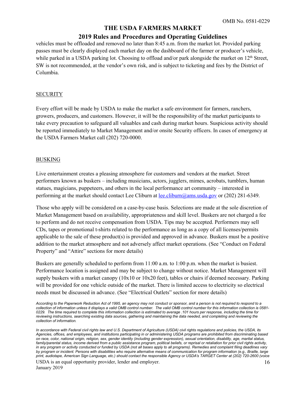# **2019 Rules and Procedures and Operating Guidelines**

vehicles must be offloaded and removed no later than 8:45 a.m. from the market lot. Provided parking passes must be clearly displayed each market day on the dashboard of the farmer or producer's vehicle, while parked in a USDA parking lot. Choosing to offload and/or park alongside the market on  $12<sup>th</sup>$  Street, SW is not recommended, at the vendor's own risk, and is subject to ticketing and fees by the District of Columbia.

#### **SECURITY**

Every effort will be made by USDA to make the market a safe environment for farmers, ranchers, growers, producers, and customers. However, it will be the responsibility of the market participants to take every precaution to safeguard all valuables and cash during market hours. Suspicious activity should be reported immediately to Market Management and/or onsite Security officers. In cases of emergency at the USDA Farmers Market call (202) 720-0000.

#### BUSKING

Live entertainment creates a pleasing atmosphere for customers and vendors at the market. Street performers known as buskers – including musicians, actors, jugglers, mimes, acrobats, tumblers, human statues, magicians, puppeteers, and others in the local performance art community – interested in performing at the market should contact Lee Cliburn at [lee.cliburn@ams.usda.gov](mailto:lee.cliburn@ams.usda.gov) or (202) 281-6349.

Those who apply will be considered on a case-by-case basis. Selections are made at the sole discretion of Market Management based on availability, appropriateness and skill level. Buskers are not charged a fee to perform and do not receive compensation from USDA. Tips may be accepted. Performers may sell CDs, tapes or promotional t-shirts related to the performance as long as a copy of all licenses/permits applicable to the sale of these product(s) is provided and approved in advance. Buskers must be a positive addition to the market atmosphere and not adversely affect market operations. (See "Conduct on Federal Property" and "Attire" sections for more details)

Buskers are generally scheduled to perform from 11:00 a.m. to 1:00 p.m. when the market is busiest. Performance location is assigned and may be subject to change without notice. Market Management will supply buskers with a market canopy (10x10 or 10x20 feet), tables or chairs if deemed necessary. Parking will be provided for one vehicle outside of the market. There is limited access to electricity so electrical needs must be discussed in advance. (See "Electrical Outlets" section for more details)

*According to the Paperwork Reduction Act of 1995, an agency may not conduct or sponsor, and a person is not required to respond to a collection of information unless it displays a valid OMB control number. The valid OMB control number for this information collection is 0581- 0229. The time required to complete this information collection is estimated to average .101 hours per response, including the time for reviewing instructions, searching existing data sources, gathering and maintaining the data needed, and completing and reviewing the collection of information.*

*In accordance with Federal civil rights law and U.S. Department of Agriculture (USDA) civil rights regulations and policies, the USDA, its Agencies, offices, and employees, and institutions participating in or administering USDA programs are prohibited from discriminating based on race, color, national origin, religion, sex, gender identity (including gender expression), sexual orientation, disability, age, marital status, family/parental status, income derived from a public assistance program, political beliefs, or reprisal or retaliation for prior civil rights activity, in any program or activity conducted or funded by USDA (not all bases apply to all programs). Remedies and complaint filing deadlines vary by program or incident. Persons with disabilities who require alternative means of communication for program information (e.g., Braille, large print, audiotape, American Sign Language, etc.) should contact the responsible Agency or USDA's TARGET Center at (202) 720-2600 (voice*